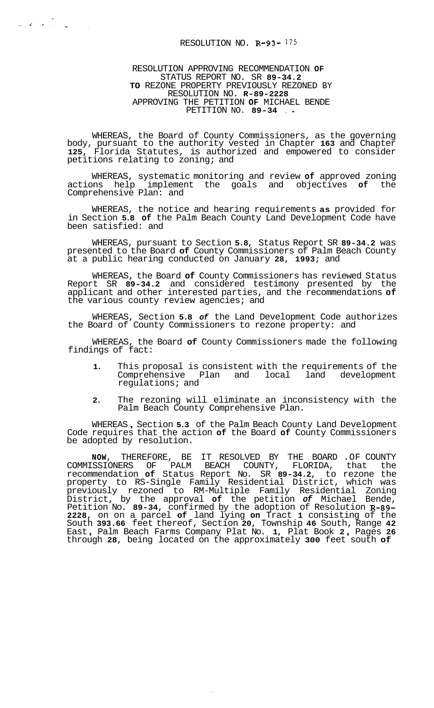## RESOLUTION NO. **R-93-** I75

المن المناسبة.<br>وفي المناسبة المناسبة المناسبة المناسبة المناسبة المناسبة المناسبة المناسبة المناسبة المناسبة المناسبة المناسب

RESOLUTION APPROVING RECOMMENDATION **OF**  STATUS REPORT NO. SR **89-34.2 TO** REZONE PROPERTY PREVIOUSLY REZONED BY APPROVING THE PETITION **OF** MICHAEL BENDE RESOLUTION NO. **R-89-2228**  PETITION NO. **89-34** . \*

WHEREAS, the Board of County Commissioners, as the governing body, pursuant to the authority vested in Chapter **163** and Chapter **125,** Florida Statutes, is authorized and empowered to consider petitions relating to zoning; and

WHEREAS, systematic monitoring and review **of** approved zoning actions help implement the goals and objectives of Comprehensive Plan: and

WHEREAS, the notice and hearing requirements **as** provided for in Section **5.8 of** the Palm Beach County Land Development Code have been satisfied: and

WHEREAS, pursuant to Section **5.8,** Status Report SR **89-34.2** was presented to the Board **of** County Commissioners of Palm Beach County at a public hearing conducted on January **28, 1993;** and

WHEREAS, the Board **of** County Commissioners has reviewed Status Report SR **89-34.2** and considered testimony presented by the applicant and other interested parties, and the recommendations **of**  the various county review agencies; and

WHEREAS, Section **5.8** *of* the Land Development Code authorizes the Board of County Commissioners to rezone property: and

WHEREAS, the Board **of** County Commissioners made the following findings of fact:

- **1.** This proposal is consistent with the requirements of the Comprehensive Plan and local land development regulations; and
- **2.** The rezoning will eliminate an inconsistency with the Palm Beach County Comprehensive Plan.

WHEREAS , Section **5.3** of the Palm Beach County Land Development Code requires that the action **of** the Board **of** County Commissioners be adopted by resolution.

**NOW,** THEREFORE, BE IT RESOLVED BY THE BOARD .OF COUNTY COMMISSIONERS OF PALM BEACH COUNTY, FLORIDA, that the recommendation **of** Status Report No. SR **89-34.2,** to rezone the property to RS-Single Family Residential District, which was previously rezoned to RM-Multiple Family Residential Zoning District, by the approval **of** the petition *of* Michael Bende, Petition No. **89-34,** confirmed by the adoption of Resolution **R-89- 2228,** on on a parcel **of** land lying **on** Tract **1** consisting of the South **393.66** feet thereof, Section **20,** Township **46** South, Range **42**  East , Palm Beach Farms Company Plat No. **1,** Plat Book **2** , Pages **<sup>26</sup>** through **28,** being located on the approximately **300** feet south **of**